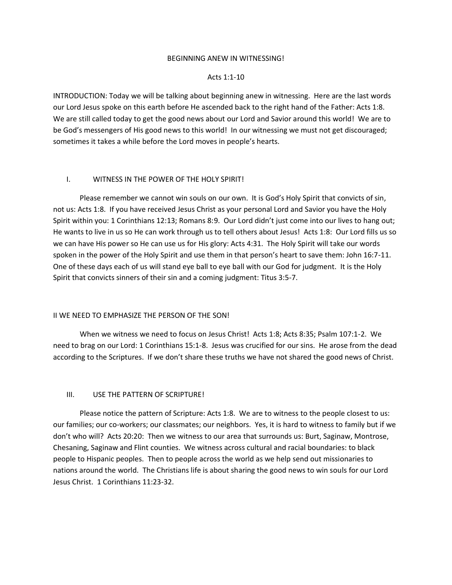### BEGINNING ANEW IN WITNESSING!

### Acts 1:1-10

INTRODUCTION: Today we will be talking about beginning anew in witnessing. Here are the last words our Lord Jesus spoke on this earth before He ascended back to the right hand of the Father: Acts 1:8. We are still called today to get the good news about our Lord and Savior around this world! We are to be God's messengers of His good news to this world! In our witnessing we must not get discouraged; sometimes it takes a while before the Lord moves in people's hearts.

## I. WITNESS IN THE POWER OF THE HOLY SPIRIT!

Please remember we cannot win souls on our own. It is God's Holy Spirit that convicts of sin, not us: Acts 1:8. If you have received Jesus Christ as your personal Lord and Savior you have the Holy Spirit within you: 1 Corinthians 12:13; Romans 8:9. Our Lord didn't just come into our lives to hang out; He wants to live in us so He can work through us to tell others about Jesus! Acts 1:8: Our Lord fills us so we can have His power so He can use us for His glory: Acts 4:31. The Holy Spirit will take our words spoken in the power of the Holy Spirit and use them in that person's heart to save them: John 16:7-11. One of these days each of us will stand eye ball to eye ball with our God for judgment. It is the Holy Spirit that convicts sinners of their sin and a coming judgment: Titus 3:5-7.

### II WE NEED TO EMPHASIZE THE PERSON OF THE SON!

When we witness we need to focus on Jesus Christ! Acts 1:8; Acts 8:35; Psalm 107:1-2. We need to brag on our Lord: 1 Corinthians 15:1-8. Jesus was crucified for our sins. He arose from the dead according to the Scriptures. If we don't share these truths we have not shared the good news of Christ.

# III. USE THE PATTERN OF SCRIPTURE!

Please notice the pattern of Scripture: Acts 1:8. We are to witness to the people closest to us: our families; our co-workers; our classmates; our neighbors. Yes, it is hard to witness to family but if we don't who will? Acts 20:20: Then we witness to our area that surrounds us: Burt, Saginaw, Montrose, Chesaning, Saginaw and Flint counties. We witness across cultural and racial boundaries: to black people to Hispanic peoples. Then to people across the world as we help send out missionaries to nations around the world. The Christians life is about sharing the good news to win souls for our Lord Jesus Christ. 1 Corinthians 11:23-32.